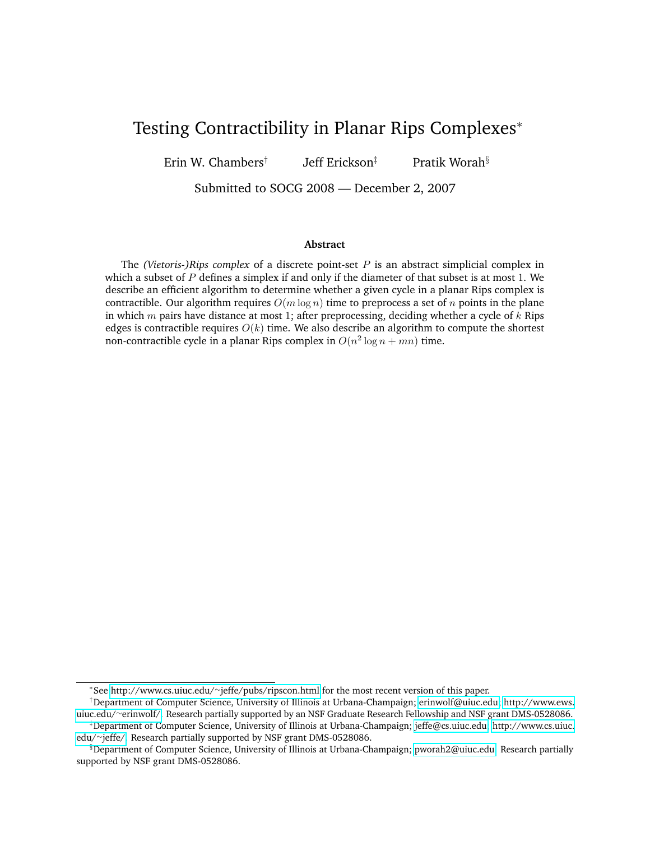# Testing Contractibility in Planar Rips Complexes<sup>∗</sup>

Erin W. Chambers† Jeff Erickson<sup>‡</sup> Pratik Worah<sup>§</sup>

Submitted to SOCG 2008 — December 2, 2007

#### **Abstract**

The *(Vietoris-)Rips complex* of a discrete point-set P is an abstract simplicial complex in which a subset of  $P$  defines a simplex if and only if the diameter of that subset is at most 1. We describe an efficient algorithm to determine whether a given cycle in a planar Rips complex is contractible. Our algorithm requires  $O(m \log n)$  time to preprocess a set of n points in the plane in which  $m$  pairs have distance at most 1; after preprocessing, deciding whether a cycle of  $k$  Rips edges is contractible requires  $O(k)$  time. We also describe an algorithm to compute the shortest non-contractible cycle in a planar Rips complex in  $O(n^2 \log n + mn)$  time.

<sup>∗</sup> See [http://www.cs.uiuc.edu/](http://www.cs.uiuc.edu/~jeffe/pubs/ripscon.html)∼jeffe/pubs/ripscon.html for the most recent version of this paper.

<sup>†</sup>Department of Computer Science, University of Illinois at Urbana-Champaign; [erinwolf@uiuc.edu;](erinwolf@uiuc.edu) [http://www.ews.](http://www.ews.uiuc.edu/~erinwolf/) uiuc.edu/∼[erinwolf/.](http://www.ews.uiuc.edu/~erinwolf/) Research partially supported by an NSF Graduate Research Fellowship and NSF grant DMS-0528086.

<sup>‡</sup>Department of Computer Science, University of Illinois at Urbana-Champaign; [jeffe@cs.uiuc.edu;](jeffe@cs.uiuc.edu) [http://www.cs.uiuc.](http://www.cs.uiuc.edu/~jeffe/) edu/∼[jeffe/.](http://www.cs.uiuc.edu/~jeffe/) Research partially supported by NSF grant DMS-0528086.

<sup>§</sup>Department of Computer Science, University of Illinois at Urbana-Champaign; [pworah2@uiuc.edu.](pworah2@uiuc.edu) Research partially supported by NSF grant DMS-0528086.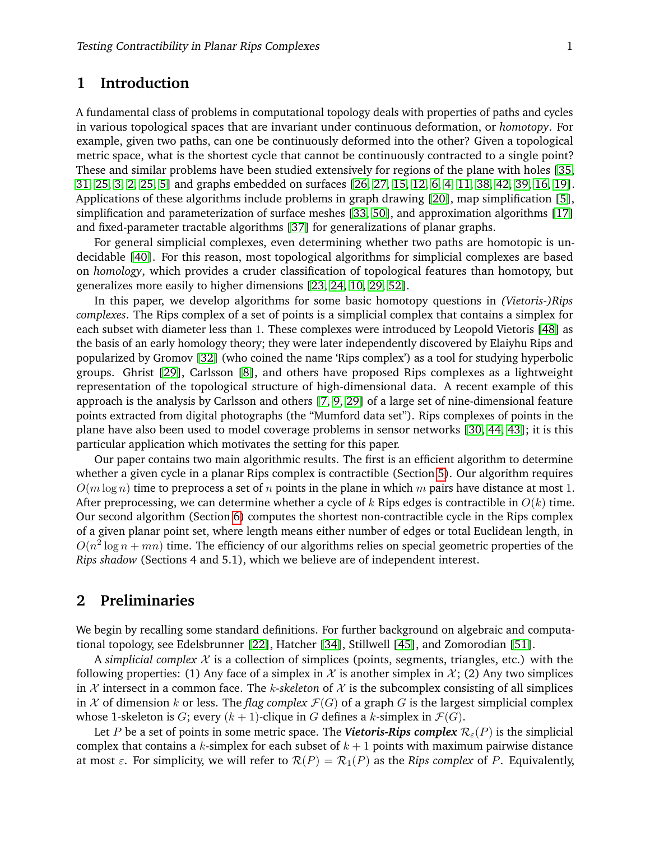## **1 Introduction**

A fundamental class of problems in computational topology deals with properties of paths and cycles in various topological spaces that are invariant under continuous deformation, or *homotopy*. For example, given two paths, can one be continuously deformed into the other? Given a topological metric space, what is the shortest cycle that cannot be continuously contracted to a single point? These and similar problems have been studied extensively for regions of the plane with holes [\[35,](#page-12-0) [31,](#page-12-1) [25,](#page-12-2) [3,](#page-11-0) [2,](#page-11-1) [25,](#page-12-2) [5\]](#page-11-2) and graphs embedded on surfaces [\[26,](#page-12-3) [27,](#page-12-4) [15,](#page-12-5) [12,](#page-12-6) [6,](#page-11-3) [4,](#page-11-4) [11,](#page-11-5) [38,](#page-12-7) [42,](#page-13-0) [39,](#page-13-1) [16,](#page-12-8) [19\]](#page-12-9). Applications of these algorithms include problems in graph drawing [\[20\]](#page-12-10), map simplification [\[5\]](#page-11-2), simplification and parameterization of surface meshes [\[33,](#page-12-11) [50\]](#page-13-2), and approximation algorithms [\[17\]](#page-12-12) and fixed-parameter tractable algorithms [\[37\]](#page-12-13) for generalizations of planar graphs.

For general simplicial complexes, even determining whether two paths are homotopic is undecidable [\[40\]](#page-13-3). For this reason, most topological algorithms for simplicial complexes are based on *homology*, which provides a cruder classification of topological features than homotopy, but generalizes more easily to higher dimensions [\[23,](#page-12-14) [24,](#page-12-15) [10,](#page-11-6) [29,](#page-12-16) [52\]](#page-13-4).

In this paper, we develop algorithms for some basic homotopy questions in *(Vietoris-)Rips complexes*. The Rips complex of a set of points is a simplicial complex that contains a simplex for each subset with diameter less than 1. These complexes were introduced by Leopold Vietoris [\[48\]](#page-13-5) as the basis of an early homology theory; they were later independently discovered by Elaiyhu Rips and popularized by Gromov [\[32\]](#page-12-17) (who coined the name 'Rips complex') as a tool for studying hyperbolic groups. Ghrist [\[29\]](#page-12-16), Carlsson [\[8\]](#page-11-7), and others have proposed Rips complexes as a lightweight representation of the topological structure of high-dimensional data. A recent example of this approach is the analysis by Carlsson and others [\[7,](#page-11-8) [9,](#page-11-9) [29\]](#page-12-16) of a large set of nine-dimensional feature points extracted from digital photographs (the "Mumford data set"). Rips complexes of points in the plane have also been used to model coverage problems in sensor networks [\[30,](#page-12-18) [44,](#page-13-6) [43\]](#page-13-7); it is this particular application which motivates the setting for this paper.

Our paper contains two main algorithmic results. The first is an efficient algorithm to determine whether a given cycle in a planar Rips complex is contractible (Section [5\)](#page-6-0). Our algorithm requires  $O(m \log n)$  time to preprocess a set of n points in the plane in which m pairs have distance at most 1. After preprocessing, we can determine whether a cycle of  $k$  Rips edges is contractible in  $O(k)$  time. Our second algorithm (Section [6\)](#page-10-0) computes the shortest non-contractible cycle in the Rips complex of a given planar point set, where length means either number of edges or total Euclidean length, in  $O(n^2 \log n + mn)$  time. The efficiency of our algorithms relies on special geometric properties of the *Rips shadow* (Sections 4 and 5.1), which we believe are of independent interest.

### **2 Preliminaries**

We begin by recalling some standard definitions. For further background on algebraic and computational topology, see Edelsbrunner [\[22\]](#page-12-19), Hatcher [\[34\]](#page-12-20), Stillwell [\[45\]](#page-13-8), and Zomorodian [\[51\]](#page-13-9).

A *simplicial complex*  $X$  is a collection of simplices (points, segments, triangles, etc.) with the following properties: (1) Any face of a simplex in X is another simplex in  $\mathcal{X}$ ; (2) Any two simplices in  $\mathcal X$  intersect in a common face. The *k*-skeleton of  $\mathcal X$  is the subcomplex consisting of all simplices in X of dimension k or less. The *flag complex*  $\mathcal{F}(G)$  of a graph G is the largest simplicial complex whose 1-skeleton is G; every  $(k + 1)$ -clique in G defines a k-simplex in  $\mathcal{F}(G)$ .

Let P be a set of points in some metric space. The **Vietoris-Rips complex**  $\mathcal{R}_{\varepsilon}(P)$  is the simplicial complex that contains a k-simplex for each subset of  $k + 1$  points with maximum pairwise distance at most  $\varepsilon$ . For simplicity, we will refer to  $\mathcal{R}(P) = \mathcal{R}_1(P)$  as the *Rips complex* of P. Equivalently,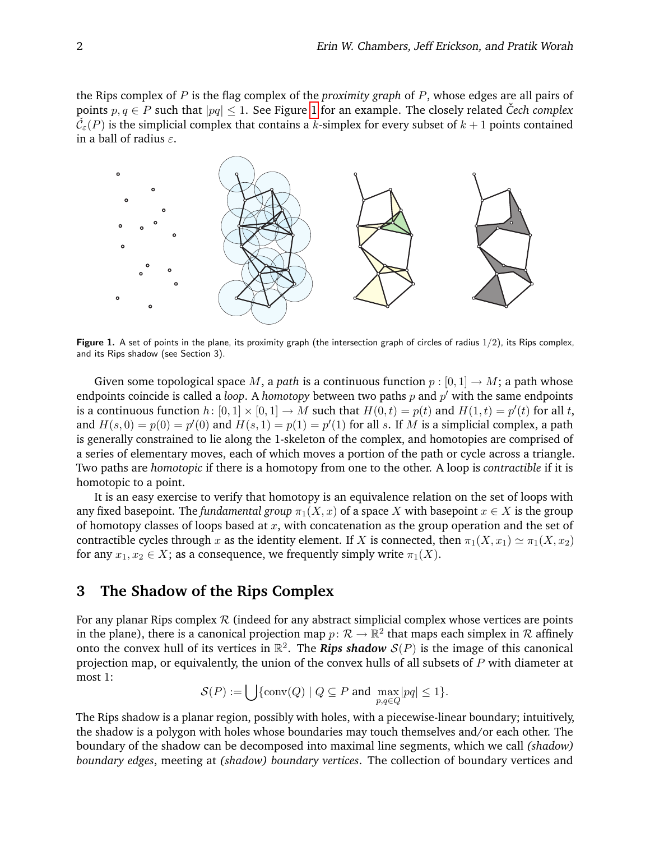the Rips complex of P is the flag complex of the *proximity graph* of P, whose edges are all pairs of points  $p, q \in P$  such that  $|pq| \leq 1$  $|pq| \leq 1$ . See Figure 1 for an example. The closely related *Cech complex*  $\tilde{\mathcal{C}}_{\varepsilon}(P)$  is the simplicial complex that contains a k-simplex for every subset of  $k+1$  points contained in a ball of radius  $\varepsilon$ .



<span id="page-2-0"></span>Figure 1. A set of points in the plane, its proximity graph (the intersection graph of circles of radius  $1/2$ ), its Rips complex, and its Rips shadow (see Section 3).

Given some topological space M, a *path* is a continuous function  $p : [0, 1] \rightarrow M$ ; a path whose endpoints coincide is called a *loop*. A *homotopy* between two paths  $p$  and  $p'$  with the same endpoints is a continuous function  $h: [0, 1] \times [0, 1] \to M$  such that  $H(0, t) = p(t)$  and  $H(1, t) = p'(t)$  for all t, and  $H(s, 0) = p(0) = p'(0)$  and  $H(s, 1) = p(1) = p'(1)$  for all s. If M is a simplicial complex, a path is generally constrained to lie along the 1-skeleton of the complex, and homotopies are comprised of a series of elementary moves, each of which moves a portion of the path or cycle across a triangle. Two paths are *homotopic* if there is a homotopy from one to the other. A loop is *contractible* if it is homotopic to a point.

It is an easy exercise to verify that homotopy is an equivalence relation on the set of loops with any fixed basepoint. The *fundamental group*  $\pi_1(X, x)$  of a space X with basepoint  $x \in X$  is the group of homotopy classes of loops based at  $x$ , with concatenation as the group operation and the set of contractible cycles through x as the identity element. If X is connected, then  $\pi_1(X, x_1) \simeq \pi_1(X, x_2)$ for any  $x_1, x_2 \in X$ ; as a consequence, we frequently simply write  $\pi_1(X)$ .

## **3 The Shadow of the Rips Complex**

For any planar Rips complex  $R$  (indeed for any abstract simplicial complex whose vertices are points in the plane), there is a canonical projection map  $p \colon \mathcal{R} \to \mathbb{R}^2$  that maps each simplex in  $\mathcal R$  affinely onto the convex hull of its vertices in  $\mathbb{R}^2$ . The **Rips shadow**  $S(P)$  is the image of this canonical projection map, or equivalently, the union of the convex hulls of all subsets of  $P$  with diameter at most 1:

$$
\mathcal{S}(P) := \bigcup \{ \text{conv}(Q) \mid Q \subseteq P \text{ and } \max_{p,q \in Q} |pq| \le 1 \}.
$$

The Rips shadow is a planar region, possibly with holes, with a piecewise-linear boundary; intuitively, the shadow is a polygon with holes whose boundaries may touch themselves and/or each other. The boundary of the shadow can be decomposed into maximal line segments, which we call *(shadow) boundary edges*, meeting at *(shadow) boundary vertices*. The collection of boundary vertices and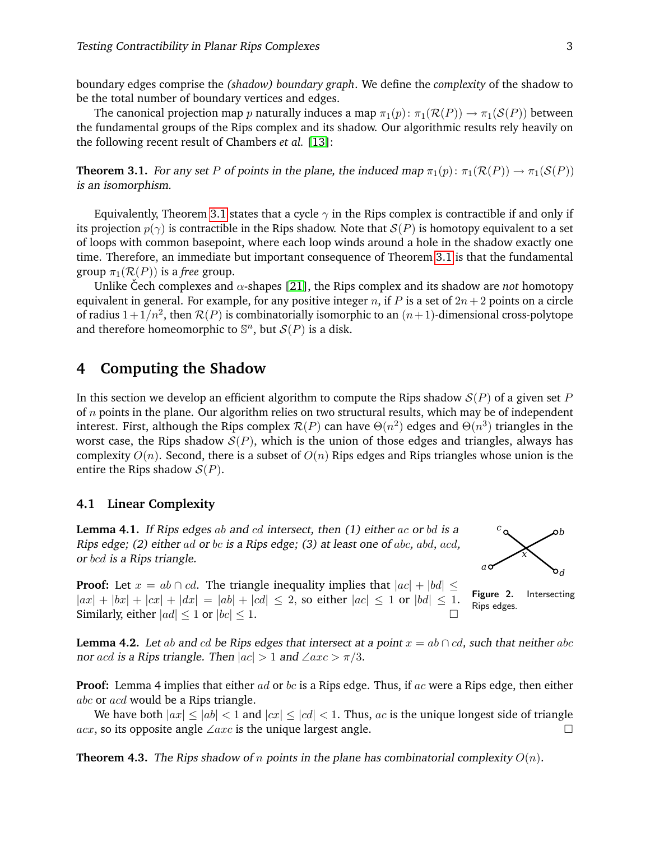boundary edges comprise the *(shadow) boundary graph*. We define the *complexity* of the shadow to be the total number of boundary vertices and edges.

The canonical projection map p naturally induces a map  $\pi_1(p)$ :  $\pi_1(\mathcal{R}(P)) \to \pi_1(\mathcal{S}(P))$  between the fundamental groups of the Rips complex and its shadow. Our algorithmic results rely heavily on the following recent result of Chambers *et al.* [\[13\]](#page-12-21):

<span id="page-3-0"></span>**Theorem 3.1.** For any set P of points in the plane, the induced map  $\pi_1(p)$ :  $\pi_1(\mathcal{R}(P)) \to \pi_1(\mathcal{S}(P))$ is an isomorphism.

Equivalently, Theorem [3.1](#page-3-0) states that a cycle  $\gamma$  in the Rips complex is contractible if and only if its projection  $p(\gamma)$  is contractible in the Rips shadow. Note that  $S(P)$  is homotopy equivalent to a set of loops with common basepoint, where each loop winds around a hole in the shadow exactly one time. Therefore, an immediate but important consequence of Theorem [3.1](#page-3-0) is that the fundamental group  $\pi_1(\mathcal{R}(P))$  is a *free* group.

Unlike Cech complexes and  $\alpha$ -shapes [\[21\]](#page-12-22), the Rips complex and its shadow are *not* homotopy equivalent in general. For example, for any positive integer n, if P is a set of  $2n + 2$  points on a circle of radius  $1+1/n^2$ , then  $\mathcal{R}(P)$  is combinatorially isomorphic to an  $(n+1)$ -dimensional cross-polytope and therefore homeomorphic to  $\mathbb{S}^n$ , but  $\mathcal{S}(P)$  is a disk.

## **4 Computing the Shadow**

In this section we develop an efficient algorithm to compute the Rips shadow  $S(P)$  of a given set P of  $n$  points in the plane. Our algorithm relies on two structural results, which may be of independent interest. First, although the Rips complex  $\mathcal{R}(P)$  can have  $\Theta(n^2)$  edges and  $\Theta(n^3)$  triangles in the worst case, the Rips shadow  $S(P)$ , which is the union of those edges and triangles, always has complexity  $O(n)$ . Second, there is a subset of  $O(n)$  Rips edges and Rips triangles whose union is the entire the Rips shadow  $S(P)$ .

#### **4.1 Linear Complexity**

<span id="page-3-2"></span>**Lemma 4.1.** If Rips edges ab and cd intersect, then  $(1)$  either ac or bd is a Rips edge; (2) either ad or bc is a Rips edge; (3) at least one of abc, abd, acd, or bcd is a Rips triangle.



**Proof:** Let  $x = ab \cap cd$ . The triangle inequality implies that  $|ac| + |bd| \le$  $|ax| + |bx| + |cx| + |dx| = |ab| + |cd| \le 2$ , so either  $|ac| \le 1$  or  $|bd| \le 1$ . Similarly, either  $|ad| \leq 1$  or  $|bc| \leq 1$ .

Figure 2. Intersecting Rips edges.

<span id="page-3-1"></span>**Lemma 4.2.** Let ab and cd be Rips edges that intersect at a point  $x = ab \cap cd$ , such that neither abc nor acd is a Rips triangle. Then  $|ac| > 1$  and  $\angle axc > \pi/3$ .

**Proof:** Lemma 4 implies that either ad or bc is a Rips edge. Thus, if ac were a Rips edge, then either abc or acd would be a Rips triangle.

We have both  $|ax| \le |ab| < 1$  and  $|cx| \le |cd| < 1$ . Thus, ac is the unique longest side of triangle *acx*, so its opposite angle ∠axc is the unique largest angle.  $□$ 

**Theorem 4.3.** The Rips shadow of n points in the plane has combinatorial complexity  $O(n)$ .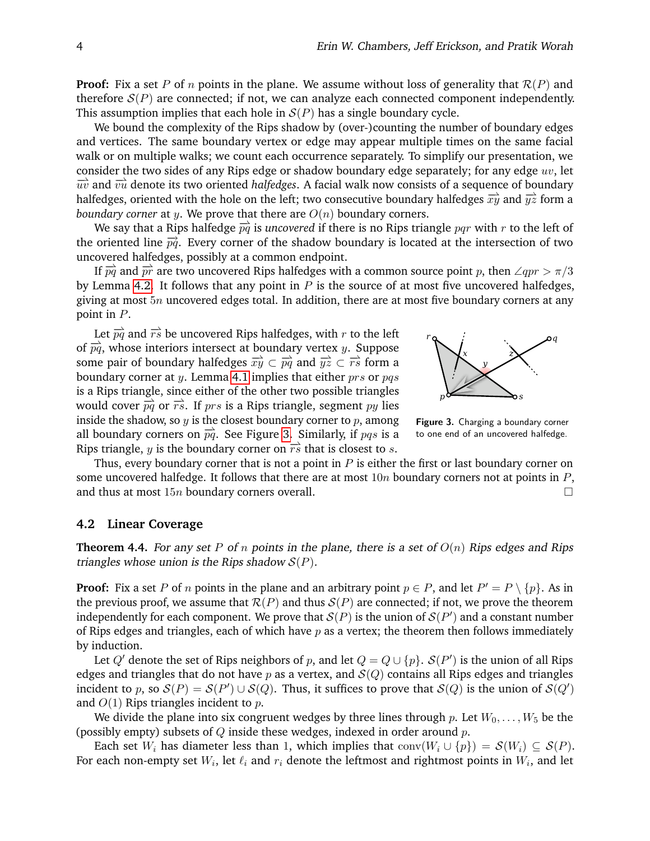**Proof:** Fix a set P of n points in the plane. We assume without loss of generality that  $\mathcal{R}(P)$  and therefore  $S(P)$  are connected; if not, we can analyze each connected component independently. This assumption implies that each hole in  $S(P)$  has a single boundary cycle.

We bound the complexity of the Rips shadow by (over-)counting the number of boundary edges and vertices. The same boundary vertex or edge may appear multiple times on the same facial walk or on multiple walks; we count each occurrence separately. To simplify our presentation, we consider the two sides of any Rips edge or shadow boundary edge separately; for any edge  $uv$ , let  $\overrightarrow{uv}$  and  $\overrightarrow{vu}$  denote its two oriented *halfedges*. A facial walk now consists of a sequence of boundary halfedges, oriented with the hole on the left; two consecutive boundary halfedges  $\overrightarrow{xy}$  and  $\overrightarrow{yz}$  form a *boundary corner* at *y*. We prove that there are  $O(n)$  boundary corners.

We say that a Rips halfedge  $\overrightarrow{pq}$  is *uncovered* if there is no Rips triangle pqr with r to the left of the oriented line  $\vec{p}$ . Every corner of the shadow boundary is located at the intersection of two uncovered halfedges, possibly at a common endpoint.

If  $\overrightarrow{pq}$  and  $\overrightarrow{pr}$  are two uncovered Rips halfedges with a common source point p, then ∠qpr >  $\pi/3$ by Lemma [4.2.](#page-3-1) It follows that any point in  $P$  is the source of at most five uncovered halfedges, giving at most  $5n$  uncovered edges total. In addition, there are at most five boundary corners at any point in P.

Let  $\overrightarrow{pq}$  and  $\overrightarrow{rs}$  be uncovered Rips halfedges, with r to the left of  $\overrightarrow{pq}$ , whose interiors intersect at boundary vertex y. Suppose some pair of boundary halfedges  $\overrightarrow{xy} \subset \overrightarrow{pq}$  and  $\overrightarrow{yz} \subset \overrightarrow{rs}$  form a boundary corner at y. Lemma [4.1](#page-3-2) implies that either  $prs$  or  $pqs$ is a Rips triangle, since either of the other two possible triangles would cover  $\overrightarrow{pq}$  or  $\overrightarrow{rs}$ . If prs is a Rips triangle, segment py lies inside the shadow, so  $y$  is the closest boundary corner to  $p$ , among all boundary corners on  $\overrightarrow{pq}$ . See Figure [3.](#page-4-0) Similarly, if pqs is a Rips triangle, y is the boundary corner on  $\overrightarrow{rs}$  that is closest to s.



<span id="page-4-0"></span>Figure 3. Charging a boundary corner to one end of an uncovered halfedge.

Thus, every boundary corner that is not a point in  $P$  is either the first or last boundary corner on some uncovered halfedge. It follows that there are at most  $10n$  boundary corners not at points in  $P$ , and thus at most  $15n$  boundary corners overall.

### **4.2 Linear Coverage**

<span id="page-4-1"></span>**Theorem 4.4.** For any set P of n points in the plane, there is a set of  $O(n)$  Rips edges and Rips triangles whose union is the Rips shadow  $S(P)$ .

**Proof:** Fix a set P of n points in the plane and an arbitrary point  $p \in P$ , and let  $P' = P \setminus \{p\}$ . As in the previous proof, we assume that  $\mathcal{R}(P)$  and thus  $\mathcal{S}(P)$  are connected; if not, we prove the theorem independently for each component. We prove that  $\mathcal{S}(P)$  is the union of  $\mathcal{S}(P')$  and a constant number of Rips edges and triangles, each of which have  $p$  as a vertex; the theorem then follows immediately by induction.

Let  $Q'$  denote the set of Rips neighbors of p, and let  $Q = Q \cup \{p\}$ .  $\mathcal{S}(P')$  is the union of all Rips edges and triangles that do not have  $p$  as a vertex, and  $\mathcal{S}(Q)$  contains all Rips edges and triangles incident to p, so  $S(P) = S(P') \cup S(Q)$ . Thus, it suffices to prove that  $S(Q)$  is the union of  $S(Q')$ and  $O(1)$  Rips triangles incident to  $p$ .

We divide the plane into six congruent wedges by three lines through p. Let  $W_0, \ldots, W_5$  be the (possibly empty) subsets of  $Q$  inside these wedges, indexed in order around  $p$ .

Each set  $W_i$  has diameter less than 1, which implies that  $conv(W_i \cup \{p\}) = S(W_i) \subseteq S(P)$ . For each non-empty set  $W_i$ , let  $\ell_i$  and  $r_i$  denote the leftmost and rightmost points in  $W_i$ , and let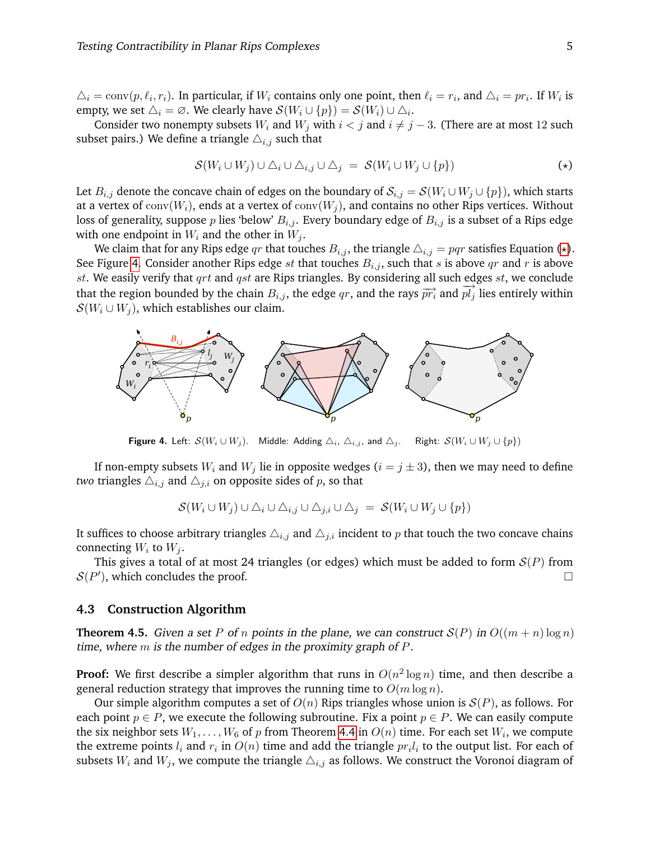$\Delta_i = \text{conv}(p, \ell_i, r_i)$ . In particular, if  $W_i$  contains only one point, then  $\ell_i = r_i$ , and  $\Delta_i = pr_i$ . If  $W_i$  is empty, we set  $\Delta_i = \emptyset$ . We clearly have  $\mathcal{S}(W_i \cup \{p\}) = \mathcal{S}(W_i) \cup \Delta_i$ .

Consider two nonempty subsets  $W_i$  and  $W_j$  with  $i < j$  and  $i \neq j - 3$ . (There are at most 12 such subset pairs.) We define a triangle  $\triangle_{i,j}$  such that

<span id="page-5-0"></span>
$$
\mathcal{S}(W_i \cup W_j) \cup \triangle_i \cup \triangle_{i,j} \cup \triangle_j = \mathcal{S}(W_i \cup W_j \cup \{p\})
$$
 (\*)

Let  $B_{i,j}$  denote the concave chain of edges on the boundary of  $S_{i,j} = \mathcal{S}(W_i \cup W_j \cup \{p\})$ , which starts at a vertex of  $conv(W_i)$ , ends at a vertex of  $conv(W_i)$ , and contains no other Rips vertices. Without loss of generality, suppose p lies 'below'  $B_{i,j}$ . Every boundary edge of  $B_{i,j}$  is a subset of a Rips edge with one endpoint in  $W_i$  and the other in  $W_j$ .

We claim that for any Rips edge qr that touches  $B_{i,j}$ , the triangle  $\Delta_{i,j} = pqr$  satisfies Equation ( $\star$ ). See Figure [4.](#page-5-1) Consider another Rips edge st that touches  $B_{i,j}$ , such that s is above qr and r is above  $st.$  We easily verify that  $qrt$  and  $qst$  are Rips triangles. By considering all such edges  $st$ , we conclude that the region bounded by the chain  $B_{i,j}$ , the edge  $qr$ , and the rays  $\overrightarrow{pr_i}$  and  $\overrightarrow{pl_j}$  lies entirely within  $\mathcal{S}(W_i \cup W_j)$ , which establishes our claim.



<span id="page-5-1"></span>Figure 4. Left:  $S(W_i \cup W_j)$ . Middle: Adding  $\triangle_i$ ,  $\triangle_{i,j}$ , and  $\triangle_j$ . Right:  $S(W_i \cup W_j \cup \{p\})$ 

If non-empty subsets  $W_i$  and  $W_j$  lie in opposite wedges ( $i = j \pm 3$ ), then we may need to define *two* triangles  $\Delta_{i,j}$  and  $\Delta_{j,i}$  on opposite sides of p, so that

$$
\mathcal{S}(W_i \cup W_j) \cup \Delta_i \cup \Delta_{i,j} \cup \Delta_{j,i} \cup \Delta_j = \mathcal{S}(W_i \cup W_j \cup \{p\})
$$

It suffices to choose arbitrary triangles  $\Delta_{i,j}$  and  $\Delta_{j,i}$  incident to p that touch the two concave chains connecting  $W_i$  to  $W_j$ .

This gives a total of at most 24 triangles (or edges) which must be added to form  $\mathcal{S}(P)$  from  $S(P')$ , which concludes the proof.

#### **4.3 Construction Algorithm**

**Theorem 4.5.** Given a set P of n points in the plane, we can construct  $S(P)$  in  $O((m+n)\log n)$ time, where  $m$  is the number of edges in the proximity graph of  $P$ .

**Proof:** We first describe a simpler algorithm that runs in  $O(n^2 \log n)$  time, and then describe a general reduction strategy that improves the running time to  $O(m \log n)$ .

Our simple algorithm computes a set of  $O(n)$  Rips triangles whose union is  $S(P)$ , as follows. For each point  $p \in P$ , we execute the following subroutine. Fix a point  $p \in P$ . We can easily compute the six neighbor sets  $W_1,\ldots,W_6$  of  $p$  from Theorem [4.4](#page-4-1) in  $O(n)$  time. For each set  $W_i,$  we compute the extreme points  $l_i$  and  $r_i$  in  $O(n)$  time and add the triangle  $pr_il_i$  to the output list. For each of subsets  $W_i$  and  $W_j$ , we compute the triangle  $\Delta_{i,j}$  as follows. We construct the Voronoi diagram of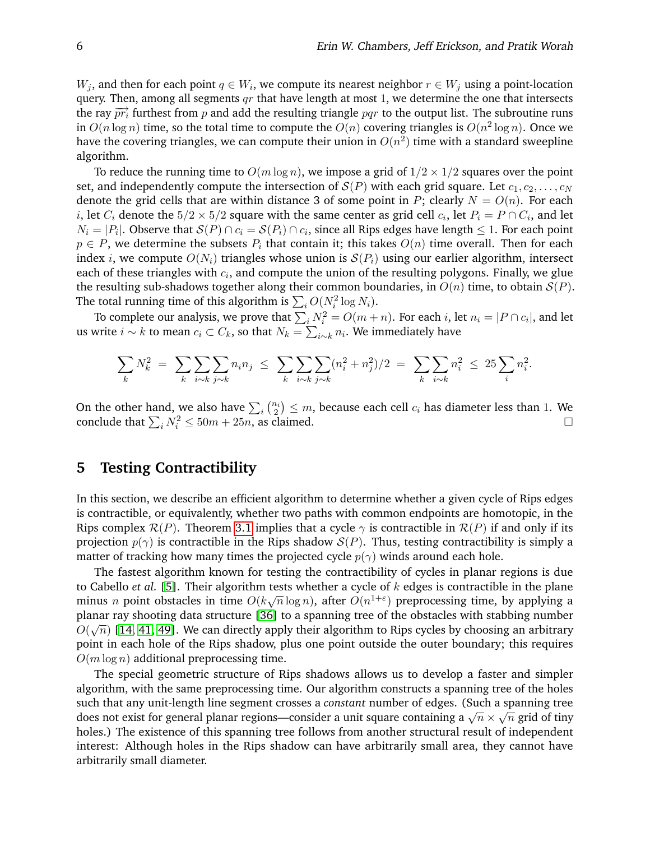$W_j$ , and then for each point  $q \in W_i$ , we compute its nearest neighbor  $r \in W_j$  using a point-location query. Then, among all segments  $qr$  that have length at most 1, we determine the one that intersects the ray  $\overline{pr_i}$  furthest from p and add the resulting triangle pqr to the output list. The subroutine runs in  $O(n \log n)$  time, so the total time to compute the  $O(n)$  covering triangles is  $O(n^2 \log n)$ . Once we have the covering triangles, we can compute their union in  $O(n^2)$  time with a standard sweepline algorithm.

To reduce the running time to  $O(m \log n)$ , we impose a grid of  $1/2 \times 1/2$  squares over the point set, and independently compute the intersection of  $S(P)$  with each grid square. Let  $c_1, c_2, \ldots, c_N$ denote the grid cells that are within distance 3 of some point in P; clearly  $N = O(n)$ . For each i, let  $C_i$  denote the  $5/2 \times 5/2$  square with the same center as grid cell  $c_i$ , let  $P_i = P \cap C_i$ , and let  $N_i=|P_i|.$  Observe that  $\mathcal{S}(P)\cap c_i=\mathcal{S}(P_i)\cap c_i,$  since all Rips edges have length  $\leq 1.$  For each point  $p \in P$ , we determine the subsets  $P_i$  that contain it; this takes  $O(n)$  time overall. Then for each index i, we compute  $O(N_i)$  triangles whose union is  $S(P_i)$  using our earlier algorithm, intersect each of these triangles with  $c_i$ , and compute the union of the resulting polygons. Finally, we glue the resulting sub-shadows together along their common boundaries, in  $O(n)$  time, to obtain  $S(P)$ . The total running time of this algorithm is  $\sum_i O(N_i^2 \log N_i).$ 

To complete our analysis, we prove that  $\sum_i N_i^2 = O(m+n)$ . For each i, let  $n_i = |P \cap c_i|$ , and let us write  $i \sim k$  to mean  $c_i \subset C_k$ , so that  $N_k = \sum_{i \sim k} n_i.$  We immediately have

$$
\sum_{k} N_k^2 = \sum_{k} \sum_{i \sim k} \sum_{j \sim k} n_i n_j \leq \sum_{k} \sum_{i \sim k} \sum_{j \sim k} (n_i^2 + n_j^2)/2 = \sum_{k} \sum_{i \sim k} n_i^2 \leq 25 \sum_{i} n_i^2.
$$

On the other hand, we also have  $\sum_i \binom{n_i}{2} \leq m$ , because each cell  $c_i$  has diameter less than 1. We conclude that  $\sum_i N_i^2 \le 50m + 25n$ , as claimed.

## <span id="page-6-0"></span>**5 Testing Contractibility**

In this section, we describe an efficient algorithm to determine whether a given cycle of Rips edges is contractible, or equivalently, whether two paths with common endpoints are homotopic, in the Rips complex  $\mathcal{R}(P)$ . Theorem [3.1](#page-3-0) implies that a cycle  $\gamma$  is contractible in  $\mathcal{R}(P)$  if and only if its projection  $p(\gamma)$  is contractible in the Rips shadow  $S(P)$ . Thus, testing contractibility is simply a matter of tracking how many times the projected cycle  $p(\gamma)$  winds around each hole.

The fastest algorithm known for testing the contractibility of cycles in planar regions is due to Cabello *et al.* [\[5\]](#page-11-2). Their algorithm tests whether a cycle of k edges is contractible in the plane minus *n* point obstacles in time  $O(k\sqrt{n}\log n)$ , after  $O(n^{1+\epsilon})$  preprocessing time, by applying a planar ray shooting data structure [\[36\]](#page-12-23) to a spanning tree of the obstacles with stabbing number √  $O(\sqrt{n})$  [\[14,](#page-12-24) [41,](#page-13-10) [49\]](#page-13-11). We can directly apply their algorithm to Rips cycles by choosing an arbitrary point in each hole of the Rips shadow, plus one point outside the outer boundary; this requires  $O(m \log n)$  additional preprocessing time.

The special geometric structure of Rips shadows allows us to develop a faster and simpler algorithm, with the same preprocessing time. Our algorithm constructs a spanning tree of the holes such that any unit-length line segment crosses a *constant* number of edges. (Such a spanning tree √ such that any unit-length line segment crosses a constant number of euges. (Such a spaining tree<br>does not exist for general planar regions—consider a unit square containing a  $\sqrt{n} \times \sqrt{n}$  grid of tiny holes.) The existence of this spanning tree follows from another structural result of independent interest: Although holes in the Rips shadow can have arbitrarily small area, they cannot have arbitrarily small diameter.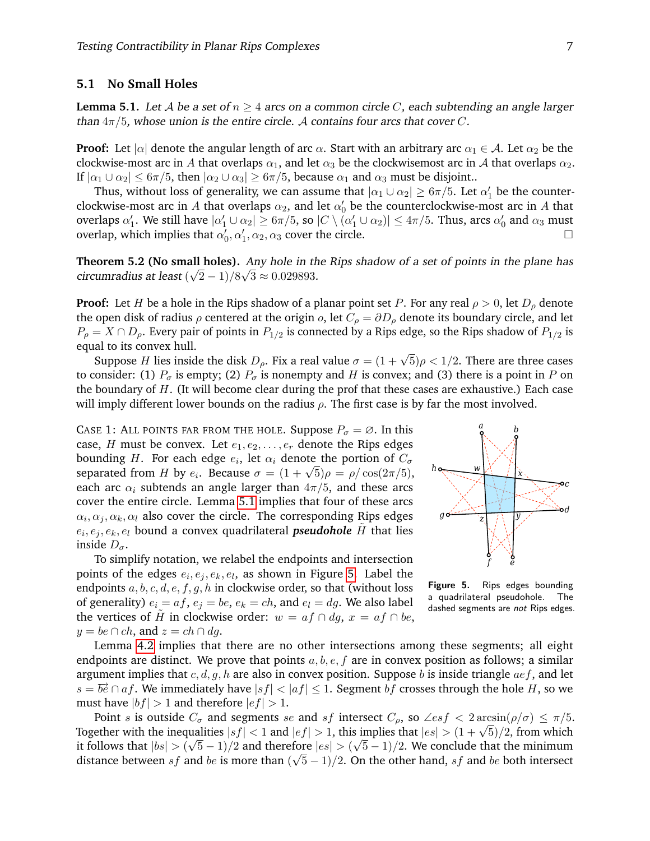### **5.1 No Small Holes**

<span id="page-7-0"></span>**Lemma 5.1.** Let A be a set of  $n \geq 4$  arcs on a common circle C, each subtending an angle larger than  $4\pi/5$ , whose union is the entire circle. A contains four arcs that cover C.

**Proof:** Let  $|\alpha|$  denote the angular length of arc  $\alpha$ . Start with an arbitrary arc  $\alpha_1 \in A$ . Let  $\alpha_2$  be the clockwise-most arc in A that overlaps  $\alpha_1$ , and let  $\alpha_3$  be the clockwisemost arc in A that overlaps  $\alpha_2$ . If  $|\alpha_1 \cup \alpha_2| \leq 6\pi/5$ , then  $|\alpha_2 \cup \alpha_3| \geq 6\pi/5$ , because  $\alpha_1$  and  $\alpha_3$  must be disjoint..

Thus, without loss of generality, we can assume that  $|\alpha_1\cup\alpha_2|\geq 6\pi/5.$  Let  $\alpha_1'$  be the counterclockwise-most arc in  $A$  that overlaps  $\alpha_2$ , and let  $\alpha_0'$  be the counterclockwise-most arc in  $A$  that overlaps  $\alpha_1'$ . We still have  $|\alpha_1'\cup\alpha_2|\geq 6\pi/5$ , so  $|C\setminus(\alpha_1'\cup\alpha_2)|\leq 4\pi/5.$  Thus, arcs  $\alpha_0'$  and  $\alpha_3$  must overlap, which implies that  $\alpha'_0$ ,  $\alpha'_1$ ,  $\alpha_2$ ,  $\alpha_3$  cover the circle.

<span id="page-7-2"></span>**Theorem 5.2 (No small holes).** Any hole in the Rips shadow of a set of points in the plane has circumradius at least  $(\sqrt{2}-1)/8\sqrt{3} \approx 0.029893$ .

**Proof:** Let H be a hole in the Rips shadow of a planar point set P. For any real  $\rho > 0$ , let  $D_{\rho}$  denote the open disk of radius  $\rho$  centered at the origin  $o$ , let  $C_{\rho} = \partial D_{\rho}$  denote its boundary circle, and let  $P_\rho = X \cap D_\rho$ . Every pair of points in  $P_{1/2}$  is connected by a Rips edge, so the Rips shadow of  $P_{1/2}$  is equal to its convex hull.

ar to its convex nun.<br>Suppose H lies inside the disk  $D_\rho$ . Fix a real value  $\sigma=(1+\sqrt{5})\rho< 1/2$ . There are three cases to consider: (1)  $P_{\sigma}$  is empty; (2)  $P_{\sigma}$  is nonempty and H is convex; and (3) there is a point in P on the boundary of  $H$ . (It will become clear during the prof that these cases are exhaustive.) Each case will imply different lower bounds on the radius  $\rho$ . The first case is by far the most involved.

CASE 1: ALL POINTS FAR FROM THE HOLE. Suppose  $P_{\sigma} = \emptyset$ . In this case, H must be convex. Let  $e_1, e_2, \ldots, e_r$  denote the Rips edges bounding  $H.$  For each edge  $e_i,$  let  $\alpha_i$  denote the portion of  $C_\sigma$ bounding *H*. For each edge  $e_i$ , for  $\alpha_i$  denote the portion of  $C_{\sigma}$  separated from *H* by  $e_i$ . Because  $\sigma = (1 + \sqrt{5})\rho = \rho/\cos(2\pi/5)$ , each arc  $\alpha_i$  subtends an angle larger than  $4\pi/5$ , and these arcs cover the entire circle. Lemma [5.1](#page-7-0) implies that four of these arcs  $\alpha_i, \alpha_j, \alpha_k, \alpha_l$  also cover the circle. The corresponding Rips edges  $e_i, e_j, e_k, e_l$  bound a convex quadrilateral *pseudohole*  $\tilde{H}$  that lies inside  $D_{\sigma}$ .

To simplify notation, we relabel the endpoints and intersection points of the edges  $e_i, e_j, e_k, e_l$ , as shown in Figure [5.](#page-7-1) Label the endpoints  $a, b, c, d, e, f, g, h$  in clockwise order, so that (without loss of generality)  $e_i = af$ ,  $e_j = be$ ,  $e_k = ch$ , and  $e_l = dg$ . We also label the vertices of H in clockwise order:  $w = af \cap dg$ ,  $x = af \cap be$ ,  $y = be \cap ch$ , and  $z = ch \cap dg$ .



<span id="page-7-1"></span>Figure 5. Rips edges bounding a quadrilateral pseudohole. The dashed segments are not Rips edges.

Lemma [4.2](#page-3-1) implies that there are no other intersections among these segments; all eight endpoints are distinct. We prove that points  $a, b, e, f$  are in convex position as follows; a similar argument implies that  $c, d, g, h$  are also in convex position. Suppose b is inside triangle  $aef$ , and let  $s = \overrightarrow{be} \cap af$ . We immediately have  $|sf| < |af| \leq 1$ . Segment bf crosses through the hole H, so we must have  $|bf| > 1$  and therefore  $|ef| > 1$ .

Point s is outside  $C_{\sigma}$  and segments se and sf intersect  $C_{\rho}$ , so  $\angle esf < 2 \arcsin(\rho/\sigma) \leq \pi/5$ . Fold s is outside  $C_{\sigma}$  and segments se and sf intersect  $C_{\rho}$ , so  $\angle es_{J} < 2 \arcsin(\rho/\sigma) \le \pi/5$ .<br>Together with the inequalities  $|sf| < 1$  and  $|ef| > 1$ , this implies that  $|es| > (1 + \sqrt{5})/2$ , from which it follows that  $|bs| > (\sqrt{5}-1)/2$  and therefore  $|es| > (\sqrt{5}-1)/2$ . We conclude that the minimum distance between  $sf$  and be is more than  $(\sqrt{5}-1)/2$ . On the other hand,  $sf$  and be both intersect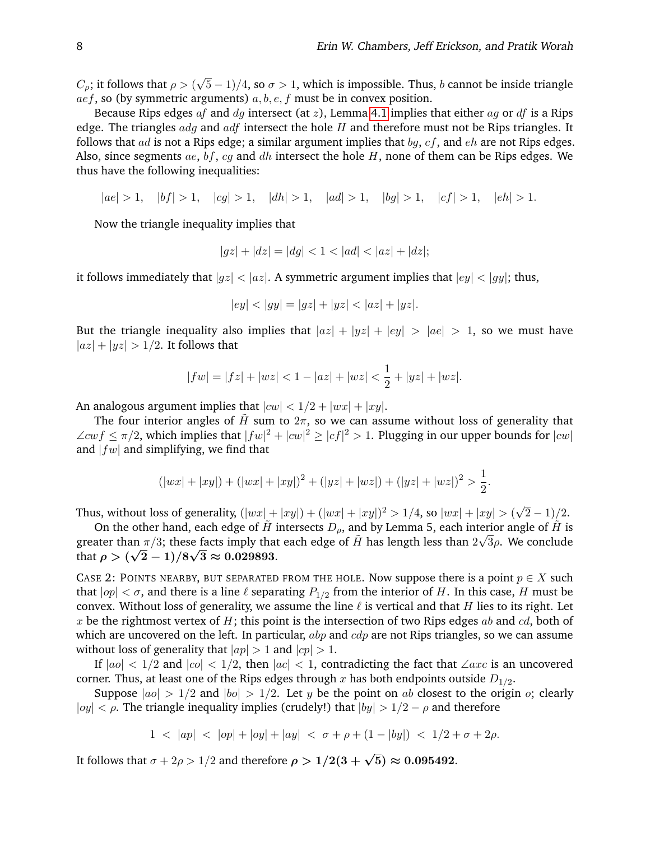$C_\rho$ ; it follows that  $\rho > 0$ √  $(5-1)/4$ , so  $\sigma > 1$ , which is impossible. Thus, b cannot be inside triangle  $aef$ , so (by symmetric arguments)  $a, b, e, f$  must be in convex position.

Because Rips edges af and dq intersect (at z), Lemma [4.1](#page-3-2) implies that either aq or df is a Rips edge. The triangles  $adg$  and  $adf$  intersect the hole  $H$  and therefore must not be Rips triangles. It follows that ad is not a Rips edge; a similar argument implies that  $bq$ ,  $cf$ , and  $eh$  are not Rips edges. Also, since segments ae, bf, cg and dh intersect the hole  $H$ , none of them can be Rips edges. We thus have the following inequalities:

 $|ae| > 1, |bf| > 1, |cg| > 1, |dh| > 1, |ad| > 1, |bg| > 1, |cf| > 1, |eh| > 1.$ 

Now the triangle inequality implies that

$$
|gz| + |dz| = |dg| < 1 < |ad| < |az| + |dz|
$$

it follows immediately that  $|gz| < |az|$ . A symmetric argument implies that  $|ey| < |gy|$ ; thus,

$$
|ey| < |gy| = |gz| + |yz| < |az| + |yz|.
$$

But the triangle inequality also implies that  $|az| + |yz| + |ey| > |ae| > 1$ , so we must have  $|az| + |yz| > 1/2$ . It follows that

$$
|fw| = |fz| + |wz| < 1 - |az| + |wz| < \frac{1}{2} + |yz| + |wz|.
$$

An analogous argument implies that  $|cw| < 1/2 + |wx| + |xy|$ .

The four interior angles of  $\tilde{H}$  sum to  $2\pi$ , so we can assume without loss of generality that  $\angle cw f \leq \pi/2$ , which implies that  $|fw|^2 + |cw|^2 \geq |cf|^2 > 1$ . Plugging in our upper bounds for  $|cw|$ and  $|fw|$  and simplifying, we find that

$$
(|wx| + |xy|) + (|wx| + |xy|)^2 + (|yz| + |wz|) + (|yz| + |wz|)^2 > \frac{1}{2}.
$$

Thus, without loss of generality,  $(|wx| + |xy|) + (|wx| + |xy|)^2 > 1/4$ , so  $|wx| + |xy| > (\sqrt{\sqrt{3}})$  $(2-1)/2.$ 

On the other hand, each edge of  $\tilde{H}$  intersects  $D_{\rho}$ , and by Lemma 5, each interior angle of  $\tilde{H}$  is greater than  $\pi/3$ ; these facts imply that each edge of  $\tilde{H}$  has length less than  $2\sqrt{3}\rho$ . We conclude that  $\rho>(\sqrt{2}-1)/8\sqrt{3}\approx 0.029893.$ 

CASE 2: POINTS NEARBY, BUT SEPARATED FROM THE HOLE. Now suppose there is a point  $p \in X$  such that  $|op| < \sigma$ , and there is a line  $\ell$  separating  $P_{1/2}$  from the interior of  $H.$  In this case,  $H$  must be convex. Without loss of generality, we assume the line  $\ell$  is vertical and that H lies to its right. Let x be the rightmost vertex of H; this point is the intersection of two Rips edges ab and  $cd$ , both of which are uncovered on the left. In particular,  $abp$  and  $cdp$  are not Rips triangles, so we can assume without loss of generality that  $|ap| > 1$  and  $|cp| > 1$ .

If  $|ao| < 1/2$  and  $|co| < 1/2$ , then  $|ac| < 1$ , contradicting the fact that ∠axc is an uncovered corner. Thus, at least one of the Rips edges through  $x$  has both endpoints outside  $D_{1/2}.$ 

Suppose  $|ao| > 1/2$  and  $|bo| > 1/2$ . Let y be the point on ab closest to the origin o; clearly |oy| <  $\rho$ . The triangle inequality implies (crudely!) that  $|by| > 1/2 - \rho$  and therefore

$$
1 < |ap| < |op| + |oy| + |ay| < \sigma + \rho + (1 - |by|) < 1/2 + \sigma + 2\rho.
$$

It follows that  $\sigma+2\rho>1/2$  and therefore  $\rho>1/2(3+\sqrt{5})\approx 0.095492.$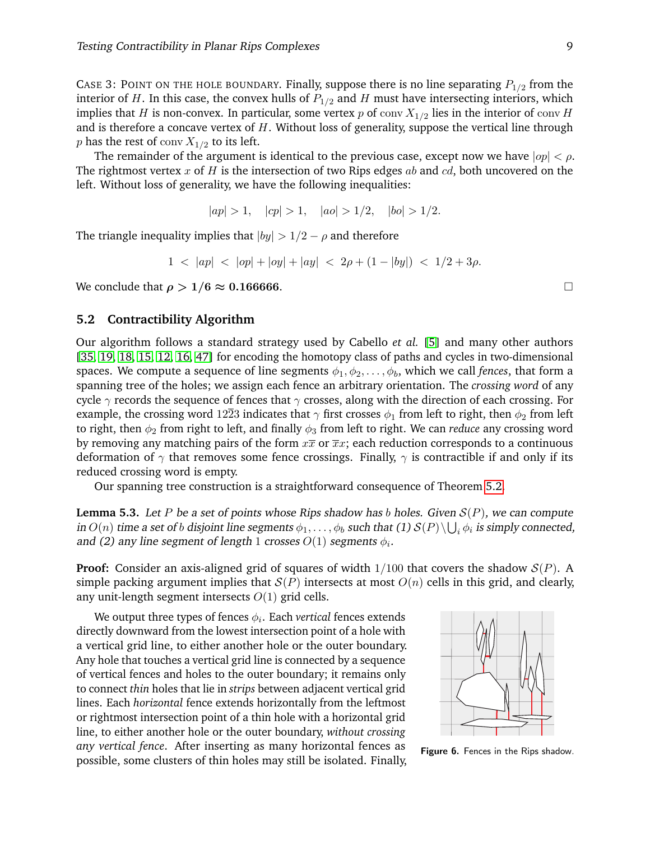CASE 3: POINT ON THE HOLE BOUNDARY. Finally, suppose there is no line separating  $P_{1/2}$  from the interior of H. In this case, the convex hulls of  $P_{1/2}$  and H must have intersecting interiors, which implies that  $H$  is non-convex. In particular, some vertex  $p$  of  $\mathop{\rm conv}\nolimits X_{1/2}$  lies in the interior of  $\mathop{\rm conv}\nolimits H$ and is therefore a concave vertex of  $H$ . Without loss of generality, suppose the vertical line through  $p$  has the rest of  $\mathop{\rm conv}\nolimits X_{1/2}$  to its left.

The remainder of the argument is identical to the previous case, except now we have  $|op| < \rho$ . The rightmost vertex x of H is the intersection of two Rips edges ab and  $cd$ , both uncovered on the left. Without loss of generality, we have the following inequalities:

$$
|ap| > 1
$$
,  $|cp| > 1$ ,  $|ao| > 1/2$ ,  $|bo| > 1/2$ .

The triangle inequality implies that  $|by| > 1/2 - \rho$  and therefore

$$
1 \, < \, |ap| \, < \, |op| + |oy| + |ay| \, < \, 2\rho + (1 - |by|) \, < \, 1/2 + 3\rho
$$

We conclude that  $\rho > 1/6 \approx 0.166666$ .

#### **5.2 Contractibility Algorithm**

Our algorithm follows a standard strategy used by Cabello *et al.* [\[5\]](#page-11-2) and many other authors [\[35,](#page-12-0) [19,](#page-12-9) [18,](#page-12-25) [15,](#page-12-5) [12,](#page-12-6) [16,](#page-12-8) [47\]](#page-13-12) for encoding the homotopy class of paths and cycles in two-dimensional spaces. We compute a sequence of line segments  $\phi_1, \phi_2, \ldots, \phi_b$ , which we call *fences*, that form a spanning tree of the holes; we assign each fence an arbitrary orientation. The *crossing word* of any cycle  $\gamma$  records the sequence of fences that  $\gamma$  crosses, along with the direction of each crossing. For example, the crossing word 1223 indicates that  $\gamma$  first crosses  $\phi_1$  from left to right, then  $\phi_2$  from left to right, then  $\phi_2$  from right to left, and finally  $\phi_3$  from left to right. We can *reduce* any crossing word by removing any matching pairs of the form  $x\overline{x}$  or  $\overline{x}x$ ; each reduction corresponds to a continuous deformation of  $\gamma$  that removes some fence crossings. Finally,  $\gamma$  is contractible if and only if its reduced crossing word is empty.

Our spanning tree construction is a straightforward consequence of Theorem [5.2.](#page-7-2)

**Lemma 5.3.** Let P be a set of points whose Rips shadow has b holes. Given  $S(P)$ , we can compute in  $O(n)$  time a set of  $b$  disjoint line segments  $\phi_1,\ldots,\phi_b$  such that (1)  $\mathcal{S}(P)\backslash\bigcup_i\phi_i$  is simply connected, and (2) any line segment of length 1 crosses  $O(1)$  segments  $\phi_i$ .

**Proof:** Consider an axis-aligned grid of squares of width  $1/100$  that covers the shadow  $S(P)$ . A simple packing argument implies that  $S(P)$  intersects at most  $O(n)$  cells in this grid, and clearly, any unit-length segment intersects  $O(1)$  grid cells.

We output three types of fences  $\phi_i.$  Each  $\emph{vertical}$  fences extends directly downward from the lowest intersection point of a hole with a vertical grid line, to either another hole or the outer boundary. Any hole that touches a vertical grid line is connected by a sequence of vertical fences and holes to the outer boundary; it remains only to connect *thin* holes that lie in *strips* between adjacent vertical grid lines. Each *horizontal* fence extends horizontally from the leftmost or rightmost intersection point of a thin hole with a horizontal grid line, to either another hole or the outer boundary, *without crossing any vertical fence*. After inserting as many horizontal fences as possible, some clusters of thin holes may still be isolated. Finally,



<span id="page-9-0"></span>Figure 6. Fences in the Rips shadow.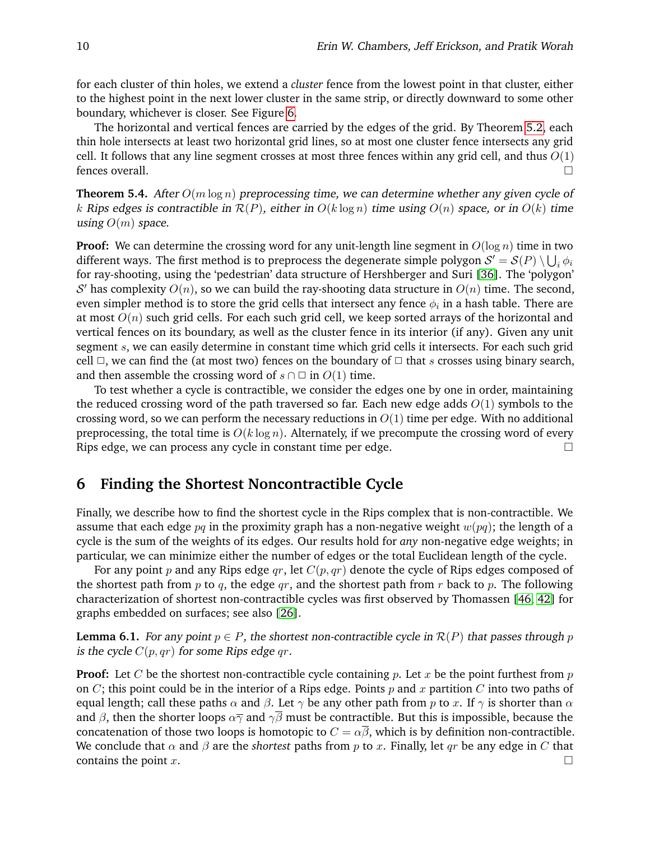for each cluster of thin holes, we extend a *cluster* fence from the lowest point in that cluster, either to the highest point in the next lower cluster in the same strip, or directly downward to some other boundary, whichever is closer. See Figure [6.](#page-9-0)

The horizontal and vertical fences are carried by the edges of the grid. By Theorem [5.2,](#page-7-2) each thin hole intersects at least two horizontal grid lines, so at most one cluster fence intersects any grid cell. It follows that any line segment crosses at most three fences within any grid cell, and thus  $O(1)$ fences overall.

**Theorem 5.4.** After  $O(m \log n)$  preprocessing time, we can determine whether any given cycle of k Rips edges is contractible in  $\mathcal{R}(P)$ , either in  $O(k \log n)$  time using  $O(n)$  space, or in  $O(k)$  time using  $O(m)$  space.

**Proof:** We can determine the crossing word for any unit-length line segment in  $O(\log n)$  time in two different ways. The first method is to preprocess the degenerate simple polygon  $\mathcal{S}'=\mathcal{S}(P)\setminus\bigcup_i\phi_i$ for ray-shooting, using the 'pedestrian' data structure of Hershberger and Suri [\[36\]](#page-12-23). The 'polygon' S' has complexity  $O(n)$ , so we can build the ray-shooting data structure in  $O(n)$  time. The second, even simpler method is to store the grid cells that intersect any fence  $\phi_i$  in a hash table. There are at most  $O(n)$  such grid cells. For each such grid cell, we keep sorted arrays of the horizontal and vertical fences on its boundary, as well as the cluster fence in its interior (if any). Given any unit segment s, we can easily determine in constant time which grid cells it intersects. For each such grid cell  $\Box$ , we can find the (at most two) fences on the boundary of  $\Box$  that s crosses using binary search, and then assemble the crossing word of  $s \cap \Box$  in  $O(1)$  time.

To test whether a cycle is contractible, we consider the edges one by one in order, maintaining the reduced crossing word of the path traversed so far. Each new edge adds  $O(1)$  symbols to the crossing word, so we can perform the necessary reductions in  $O(1)$  time per edge. With no additional preprocessing, the total time is  $O(k \log n)$ . Alternately, if we precompute the crossing word of every Rips edge, we can process any cycle in constant time per edge.

### <span id="page-10-0"></span>**6 Finding the Shortest Noncontractible Cycle**

Finally, we describe how to find the shortest cycle in the Rips complex that is non-contractible. We assume that each edge  $pq$  in the proximity graph has a non-negative weight  $w(pq)$ ; the length of a cycle is the sum of the weights of its edges. Our results hold for *any* non-negative edge weights; in particular, we can minimize either the number of edges or the total Euclidean length of the cycle.

For any point p and any Rips edge qr, let  $C(p, qr)$  denote the cycle of Rips edges composed of the shortest path from p to q, the edge qr, and the shortest path from r back to p. The following characterization of shortest non-contractible cycles was first observed by Thomassen [\[46,](#page-13-13) [42\]](#page-13-0) for graphs embedded on surfaces; see also [\[26\]](#page-12-3).

**Lemma 6.1.** For any point  $p \in P$ , the shortest non-contractible cycle in  $\mathcal{R}(P)$  that passes through p is the cycle  $C(p,qr)$  for some Rips edge qr.

**Proof:** Let C be the shortest non-contractible cycle containing p. Let x be the point furthest from p on  $C$ ; this point could be in the interior of a Rips edge. Points  $p$  and  $x$  partition  $C$  into two paths of equal length; call these paths  $\alpha$  and  $\beta$ . Let  $\gamma$  be any other path from p to x. If  $\gamma$  is shorter than  $\alpha$ and  $\beta$ , then the shorter loops  $\alpha\overline{\gamma}$  and  $\gamma\overline{\beta}$  must be contractible. But this is impossible, because the concatenation of those two loops is homotopic to  $C = \alpha \beta$ , which is by definition non-contractible. We conclude that  $\alpha$  and  $\beta$  are the *shortest* paths from p to x. Finally, let qr be any edge in C that contains the point  $x$ .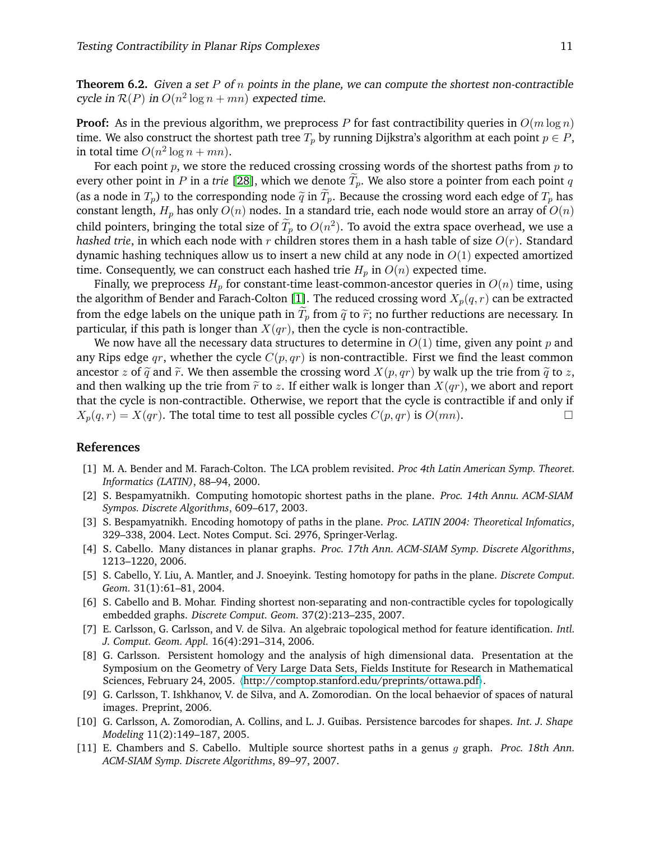**Theorem 6.2.** Given a set P of n points in the plane, we can compute the shortest non-contractible cycle in  $\mathcal{R}(P)$  in  $O(n^2 \log n + mn)$  expected time.

**Proof:** As in the previous algorithm, we preprocess P for fast contractibility queries in  $O(m \log n)$ time. We also construct the shortest path tree  $T_p$  by running Dijkstra's algorithm at each point  $p \in P$ , in total time  $O(n^2 \log n + mn)$ .

For each point  $p$ , we store the reduced crossing crossing words of the shortest paths from  $p$  to every other point in P in a *trie* [\[28\]](#page-12-26), which we denote  $T_p$ . We also store a pointer from each point q (as a node in  $T_p$ ) to the corresponding node  $\tilde{q}$  in  $T_p$ . Because the crossing word each edge of  $T_p$  has constant length,  $H_p$  has only  $O(n)$  nodes. In a standard trie, each node would store an array of  $O(n)$ child pointers, bringing the total size of  $\tilde{T}_p$  to  $O(n^2)$ . To avoid the extra space overhead, we use a *hashed trie*, in which each node with r children stores them in a hash table of size  $O(r)$ . Standard dynamic hashing techniques allow us to insert a new child at any node in  $O(1)$  expected amortized time. Consequently, we can construct each hashed trie  $H_p$  in  $O(n)$  expected time.

Finally, we preprocess  $H_p$  for constant-time least-common-ancestor queries in  $O(n)$  time, using the algorithm of Bender and Farach-Colton [\[1\]](#page-11-10). The reduced crossing word  $X_p(q, r)$  can be extracted from the edge labels on the unique path in  $T_p$  from  $\tilde{q}$  to  $\tilde{r}$ ; no further reductions are necessary. In particular, if this path is longer than  $X(qr)$ , then the cycle is non-contractible.

We now have all the necessary data structures to determine in  $O(1)$  time, given any point p and any Rips edge qr, whether the cycle  $C(p, qr)$  is non-contractible. First we find the least common ancestor z of  $\tilde{q}$  and  $\tilde{r}$ . We then assemble the crossing word  $X(p, qr)$  by walk up the trie from  $\tilde{q}$  to z, and then walking up the trie from  $\tilde{r}$  to z. If either walk is longer than  $X(qr)$ , we abort and report that the cycle is non-contractible. Otherwise, we report that the cycle is contractible if and only if  $X_p(q, r) = X(qr)$ . The total time to test all possible cycles  $C(p, qr)$  is  $O(mn)$ .

### **References**

- <span id="page-11-10"></span>[1] M. A. Bender and M. Farach-Colton. The LCA problem revisited. *Proc 4th Latin American Symp. Theoret. Informatics (LATIN)*, 88–94, 2000.
- <span id="page-11-1"></span>[2] S. Bespamyatnikh. Computing homotopic shortest paths in the plane. *Proc. 14th Annu. ACM-SIAM Sympos. Discrete Algorithms*, 609–617, 2003.
- <span id="page-11-0"></span>[3] S. Bespamyatnikh. Encoding homotopy of paths in the plane. *Proc. LATIN 2004: Theoretical Infomatics*, 329–338, 2004. Lect. Notes Comput. Sci. 2976, Springer-Verlag.
- <span id="page-11-4"></span>[4] S. Cabello. Many distances in planar graphs. *Proc. 17th Ann. ACM-SIAM Symp. Discrete Algorithms*, 1213–1220, 2006.
- <span id="page-11-2"></span>[5] S. Cabello, Y. Liu, A. Mantler, and J. Snoeyink. Testing homotopy for paths in the plane. *Discrete Comput. Geom.* 31(1):61–81, 2004.
- <span id="page-11-3"></span>[6] S. Cabello and B. Mohar. Finding shortest non-separating and non-contractible cycles for topologically embedded graphs. *Discrete Comput. Geom.* 37(2):213–235, 2007.
- <span id="page-11-8"></span>[7] E. Carlsson, G. Carlsson, and V. de Silva. An algebraic topological method for feature identification. *Intl. J. Comput. Geom. Appl.* 16(4):291–314, 2006.
- <span id="page-11-7"></span>[8] G. Carlsson. Persistent homology and the analysis of high dimensional data. Presentation at the Symposium on the Geometry of Very Large Data Sets, Fields Institute for Research in Mathematical Sciences, February 24, 2005.  $\langle$ <http://comptop.stanford.edu/preprints/ottawa.pdf> $\rangle$ .
- <span id="page-11-9"></span>[9] G. Carlsson, T. Ishkhanov, V. de Silva, and A. Zomorodian. On the local behaevior of spaces of natural images. Preprint, 2006.
- <span id="page-11-6"></span>[10] G. Carlsson, A. Zomorodian, A. Collins, and L. J. Guibas. Persistence barcodes for shapes. *Int. J. Shape Modeling* 11(2):149–187, 2005.
- <span id="page-11-5"></span>[11] E. Chambers and S. Cabello. Multiple source shortest paths in a genus g graph. *Proc. 18th Ann. ACM-SIAM Symp. Discrete Algorithms*, 89–97, 2007.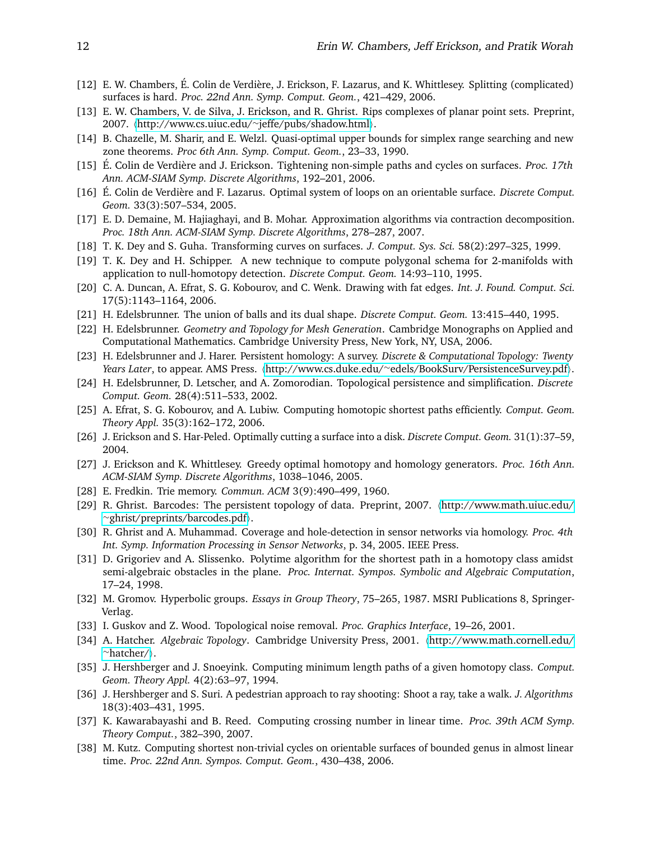- <span id="page-12-6"></span>[12] E. W. Chambers, É. Colin de Verdière, J. Erickson, F. Lazarus, and K. Whittlesey. Splitting (complicated) surfaces is hard. *Proc. 22nd Ann. Symp. Comput. Geom.*, 421–429, 2006.
- <span id="page-12-21"></span>[13] E. W. Chambers, V. de Silva, J. Erickson, and R. Ghrist. Rips complexes of planar point sets. Preprint, 2007. ([http://www.cs.uiuc.edu/](http://www.cs.uiuc.edu/~jeffe/pubs/shadow.html)∼jeffe/pubs/shadow.html).
- <span id="page-12-24"></span>[14] B. Chazelle, M. Sharir, and E. Welzl. Quasi-optimal upper bounds for simplex range searching and new zone theorems. *Proc 6th Ann. Symp. Comput. Geom.*, 23–33, 1990.
- <span id="page-12-5"></span>[15] É. Colin de Verdière and J. Erickson. Tightening non-simple paths and cycles on surfaces. *Proc. 17th Ann. ACM-SIAM Symp. Discrete Algorithms*, 192–201, 2006.
- <span id="page-12-8"></span>[16] É. Colin de Verdière and F. Lazarus. Optimal system of loops on an orientable surface. *Discrete Comput*. *Geom.* 33(3):507–534, 2005.
- <span id="page-12-12"></span>[17] E. D. Demaine, M. Hajiaghayi, and B. Mohar. Approximation algorithms via contraction decomposition. *Proc. 18th Ann. ACM-SIAM Symp. Discrete Algorithms*, 278–287, 2007.
- <span id="page-12-25"></span>[18] T. K. Dey and S. Guha. Transforming curves on surfaces. *J. Comput. Sys. Sci.* 58(2):297–325, 1999.
- <span id="page-12-9"></span>[19] T. K. Dey and H. Schipper. A new technique to compute polygonal schema for 2-manifolds with application to null-homotopy detection. *Discrete Comput. Geom.* 14:93–110, 1995.
- <span id="page-12-10"></span>[20] C. A. Duncan, A. Efrat, S. G. Kobourov, and C. Wenk. Drawing with fat edges. *Int. J. Found. Comput. Sci.* 17(5):1143–1164, 2006.
- <span id="page-12-22"></span>[21] H. Edelsbrunner. The union of balls and its dual shape. *Discrete Comput. Geom.* 13:415–440, 1995.
- <span id="page-12-19"></span>[22] H. Edelsbrunner. *Geometry and Topology for Mesh Generation*. Cambridge Monographs on Applied and Computational Mathematics. Cambridge University Press, New York, NY, USA, 2006.
- <span id="page-12-14"></span>[23] H. Edelsbrunner and J. Harer. Persistent homology: A survey. *Discrete & Computational Topology: Twenty Years Later*, to appear. AMS Press. (http://www.cs.duke.edu/∼[edels/BookSurv/PersistenceSurvey.pdf](http://www.cs.duke.edu/~edels/BookSurv/PersistenceSurvey.pdf)).
- <span id="page-12-15"></span>[24] H. Edelsbrunner, D. Letscher, and A. Zomorodian. Topological persistence and simplification. *Discrete Comput. Geom.* 28(4):511–533, 2002.
- <span id="page-12-2"></span>[25] A. Efrat, S. G. Kobourov, and A. Lubiw. Computing homotopic shortest paths efficiently. *Comput. Geom. Theory Appl.* 35(3):162–172, 2006.
- <span id="page-12-3"></span>[26] J. Erickson and S. Har-Peled. Optimally cutting a surface into a disk. *Discrete Comput. Geom.* 31(1):37–59, 2004.
- <span id="page-12-4"></span>[27] J. Erickson and K. Whittlesey. Greedy optimal homotopy and homology generators. *Proc. 16th Ann. ACM-SIAM Symp. Discrete Algorithms*, 1038–1046, 2005.
- <span id="page-12-26"></span>[28] E. Fredkin. Trie memory. *Commun. ACM* 3(9):490–499, 1960.
- <span id="page-12-16"></span>[29] R. Ghrist. Barcodes: The persistent topology of data. Preprint, 2007. ([http://www.math.uiuc.edu/](http://www.math.uiuc.edu/~ghrist/preprints/barcodes.pdf) ∼[ghrist/preprints/barcodes.pdf](http://www.math.uiuc.edu/~ghrist/preprints/barcodes.pdf)).
- <span id="page-12-18"></span>[30] R. Ghrist and A. Muhammad. Coverage and hole-detection in sensor networks via homology. *Proc. 4th Int. Symp. Information Processing in Sensor Networks*, p. 34, 2005. IEEE Press.
- <span id="page-12-1"></span>[31] D. Grigoriev and A. Slissenko. Polytime algorithm for the shortest path in a homotopy class amidst semi-algebraic obstacles in the plane. *Proc. Internat. Sympos. Symbolic and Algebraic Computation*, 17–24, 1998.
- <span id="page-12-17"></span>[32] M. Gromov. Hyperbolic groups. *Essays in Group Theory*, 75–265, 1987. MSRI Publications 8, Springer-Verlag.
- <span id="page-12-11"></span>[33] I. Guskov and Z. Wood. Topological noise removal. *Proc. Graphics Interface*, 19–26, 2001.
- <span id="page-12-20"></span>[34] A. Hatcher. *Algebraic Topology*. Cambridge University Press, 2001. h[http://www.math.cornell.edu/](http://www.math.cornell.edu/~hatcher/) <sup>∼</sup>[hatcher/](http://www.math.cornell.edu/~hatcher/)i.
- <span id="page-12-0"></span>[35] J. Hershberger and J. Snoeyink. Computing minimum length paths of a given homotopy class. *Comput. Geom. Theory Appl.* 4(2):63–97, 1994.
- <span id="page-12-23"></span>[36] J. Hershberger and S. Suri. A pedestrian approach to ray shooting: Shoot a ray, take a walk. *J. Algorithms* 18(3):403–431, 1995.
- <span id="page-12-13"></span>[37] K. Kawarabayashi and B. Reed. Computing crossing number in linear time. *Proc. 39th ACM Symp. Theory Comput.*, 382–390, 2007.
- <span id="page-12-7"></span>[38] M. Kutz. Computing shortest non-trivial cycles on orientable surfaces of bounded genus in almost linear time. *Proc. 22nd Ann. Sympos. Comput. Geom.*, 430–438, 2006.